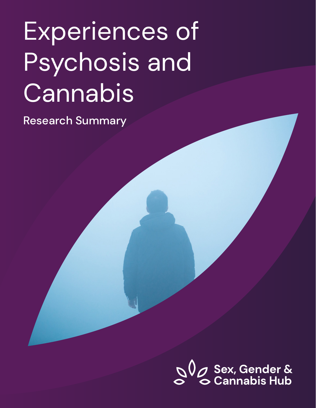# Experiences of Psychosis and Cannabis

Research Summary

**OU** Sex, Gender &<br> **C** Cannabis Hub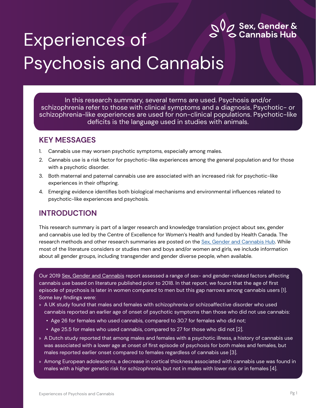

# Experiences of Psychosis and Cannabis

In this research summary, several terms are used. Psychosis and/or schizophrenia refer to those with clinical symptoms and a diagnosis. Psychotic- or schizophrenia-like experiences are used for non-clinical populations. Psychotic-like deficits is the language used in studies with animals.

#### **KEY MESSAGES**

- 1. Cannabis use may worsen psychotic symptoms, especially among males.
- 2. Cannabis use is a risk factor for psychotic-like experiences among the general population and for those with a psychotic disorder.
- 3. Both maternal and paternal cannabis use are associated with an increased risk for psychotic-like experiences in their offspring.
- 4. Emerging evidence identifies both biological mechanisms and environmental influences related to psychotic-like experiences and psychosis.

#### **INTRODUCTION**

This research summary is part of a larger research and knowledge translation project about sex, gender and cannabis use led by the Centre of Excellence for Women's Health and funded by Health Canada. The research methods and other research summaries are posted on the [Sex, Gender and Cannabis Hub.](https://sexgendercannabishub.ca/) While most of the literature considers or studies men and boys and/or women and girls, we include information about all gender groups, including transgender and gender diverse people, when available.

Our 2019 [Sex, Gender and Cannabis](https://sexgendercannabishub.ca/wp-content/uploads/2021/02/Sex-Gender-and-Cannabis-report-1.pdf) report assessed a range of sex- and gender-related factors affecting cannabis use based on literature published prior to 2018. In that report, we found that the age of first episode of psychosis is later in women compared to men but this gap narrows among cannabis users [1]. Some key findings were:

- » A UK study found that males and females with schizophrenia or schizoaffective disorder who used cannabis reported an earlier age of onset of psychotic symptoms than those who did not use cannabis:
	- Age 26 for females who used cannabis, compared to 30.7 for females who did not;
	- Age 25.5 for males who used cannabis, compared to 27 for those who did not [2].
- » A Dutch study reported that among males and females with a psychotic illness, a history of cannabis use was associated with a lower age at onset of first episode of psychosis for both males and females, but males reported earlier onset compared to females regardless of cannabis use [3].
- » Among European adolescents, a decrease in cortical thickness associated with cannabis use was found in males with a higher genetic risk for schizophrenia, but not in males with lower risk or in females [4].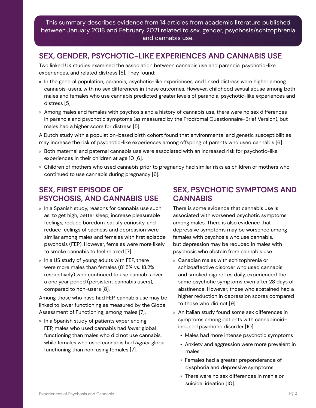This summary describes evidence from 14 articles from academic literature published between January 2018 and February 2021 related to sex, gender, psychosis/schizophrenia and cannabis use.

#### **SEX, GENDER, PSYCHOTIC-LIKE EXPERIENCES AND CANNABIS USE**

Two linked UK studies examined the association between cannabis use and paranoia, psychotic-like experiences, and related distress [5]. They found:

- » In the general population, paranoia, psychotic-like experiences, and linked distress were higher among cannabis-users, with no sex differences in these outcomes. However, childhood sexual abuse among both males and females who use cannabis predicted greater levels of paranoia, psychotic-like experiences and distress [5].
- » Among males and females with psychosis and a history of cannabis use, there were no sex differences in paranoia and psychotic symptoms (as measured by the Prodromal Questionnaire-Brief Version), but males had a higher score for distress [5].

A Dutch study with a population-based birth cohort found that environmental and genetic susceptibilities may increase the risk of psychotic-like experiences among offspring of parents who used cannabis [6].

- » Both maternal and paternal cannabis use were associated with an increased risk for psychotic-like experiences in their children at age 10 [6].
- » Children of mothers who used cannabis prior to pregnancy had similar risks as children of mothers who continued to use cannabis during pregnancy [6].

#### **SEX, FIRST EPISODE OF PSYCHOSIS, AND CANNABIS USE**

- » In a Spanish study, reasons for cannabis use such as: to get high, better sleep, increase pleasurable feelings, reduce boredom, satisfy curiosity, and reduce feelings of sadness and depression were similar among males and females with first episode psychosis (FEP). However, females were more likely to smoke cannabis to feel relaxed [7].
- » In a US study of young adults with FEP, there were more males than females (81.5% vs. 18.2% respectively) who continued to use cannabis over a one year period (persistent cannabis users), compared to non-users [8].

Among those who have had FEP, cannabis use may be linked to lower functioning as measured by the Global Assessment of Functioning, among males [7].

» In a Spanish study of patients experiencing FEP, males who used cannabis had *lower* global functioning than males who did not use cannabis, while females who used cannabis had *higher* global functioning than non-using females [7].

#### **SEX, PSYCHOTIC SYMPTOMS AND CANNABIS**

There is some evidence that cannabis use is associated with worsened psychotic symptoms among males. There is also evidence that depressive symptoms may be worsened among females with psychosis who use cannabis, but depression may be reduced in males with psychosis who abstain from cannabis use.

- » Canadian males with schizophrenia or schizoaffective disorder who used cannabis and smoked cigarettes daily, experienced the same psychotic symptoms even after 28 days of abstinence. However, those who abstained had a higher reduction in depression scores compared to those who did not [9].
- » An Italian study found some sex differences in symptoms among patients with cannabinoidinduced psychotic disorder [10]:
	- Males had more intense psychotic symptoms
	- Anxiety and aggression were more prevalent in males
	- Females had a greater preponderance of dysphoria and depressive symptoms
	- There were no sex differences in mania or suicidal ideation [10].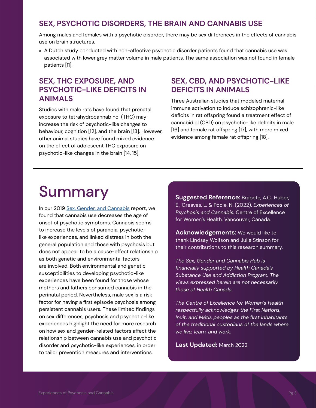#### **SEX, PSYCHOTIC DISORDERS, THE BRAIN AND CANNABIS USE**

Among males and females with a psychotic disorder, there may be sex differences in the effects of cannabis use on brain structures.

» A Dutch study conducted with non-affective psychotic disorder patients found that cannabis use was associated with lower grey matter volume in male patients. The same association was not found in female patients [11].

#### **SEX, THC EXPOSURE, AND PSYCHOTIC-LIKE DEFICITS IN ANIMALS**

Studies with male rats have found that prenatal exposure to tetrahydrocannabinol (THC) may increase the risk of psychotic-like changes to behaviour, cognition [12], and the brain [13]. However, other animal studies have found mixed evidence on the effect of adolescent THC exposure on psychotic-like changes in the brain [14, 15].

#### **SEX, CBD, AND PSYCHOTIC-LIKE DEFICITS IN ANIMALS**

Three Australian studies that modeled maternal immune activation to induce schizophrenic-like deficits in rat offspring found a treatment effect of cannabidiol (CBD) on psychotic-like deficits in male [16] and female rat offspring [17], with more mixed evidence among female rat offspring [18].

## Summary

In our 2019 [Sex, Gender, and Cannabis](https://sexgendercannabishub.ca/wp-content/uploads/2021/02/Sex-Gender-and-Cannabis-report-1.pdf) report, we found that cannabis use decreases the age of onset of psychotic symptoms. Cannabis seems to increase the levels of paranoia, psychoticlike experiences, and linked distress in both the general population and those with psychosis but does not appear to be a cause-effect relationship as both genetic and environmental factors are involved. Both environmental and genetic susceptibilities to developing psychotic-like experiences have been found for those whose mothers and fathers consumed cannabis in the perinatal period. Nevertheless, male sex is a risk factor for having a first episode psychosis among persistent cannabis users. These limited findings on sex differences, psychosis and psychotic-like experiences highlight the need for more research on how sex and gender-related factors affect the relationship between cannabis use and psychotic disorder and psychotic-like experiences, in order to tailor prevention measures and interventions.

**Suggested Reference:** Brabete, A.C., Huber, E., Greaves, L. & Poole, N. (2022). *Experiences of Psychosis and Cannabis.* Centre of Excellence for Women's Health. Vancouver, Canada.

**Acknowledgements:** We would like to thank Lindsay Wolfson and Julie Stinson for their contributions to this research summary.

*The Sex, Gender and Cannabis Hub is financially supported by Health Canada's Substance Use and Addiction Program. The views expressed herein are not necessarily those of Health Canada.* 

*The Centre of Excellence for Women's Health respectfully acknowledges the First Nations, Inuit, and Métis peoples as the first inhabitants of the traditional custodians of the lands where we live, learn, and work.*

**Last Updated:** March 2022